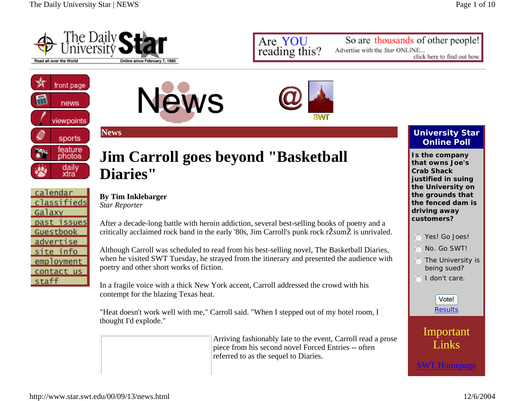

Are YOU reading this?

SWT

So are thousands of other people! Advertise with the Star ONLINE... click here to find out how.



calendar classifieds

past issues Guestbook advertise site info employment contact us

Galaxy

staff

**News**

# **Jim Carroll goes beyond "Basketball Diaries"**

**News** 

### **By Tim Inklebarger**

*Star Reporter*

After a decade-long battle with heroin addiction, several best-selling books of poetry and a critically acclaimed rock band in the early '80s, Jim Carroll's punk rock rŽsumŽ is unrivaled.

Although Carroll was scheduled to read from his best-selling novel, The Basketball Diaries, when he visited SWT Tuesday, he strayed from the itinerary and presented the audience with poetry and other short works of fiction.

In a fragile voice with a thick New York accent, Carroll addressed the crowd with his contempt for the blazing Texas heat.

"Heat doesn't work well with me," Carroll said. "When I stepped out of my hotel room, I thought I'd explode."

> Arriving fashionably late to the event, Carroll read a prose piece from his second novel Forced Entries -- often referred to as the sequel to Diaries.

### **University Star Online Poll**

**Is the company that owns Joe's Crab Shack justified in suing the University on the grounds that the fenced dam is driving away customers?**

Yes! Go Joes! No. Go SWT! $\bigcap$  The University is being sued?  $\cap$  I don't care. Vote!

Important

Results



SWT Homepage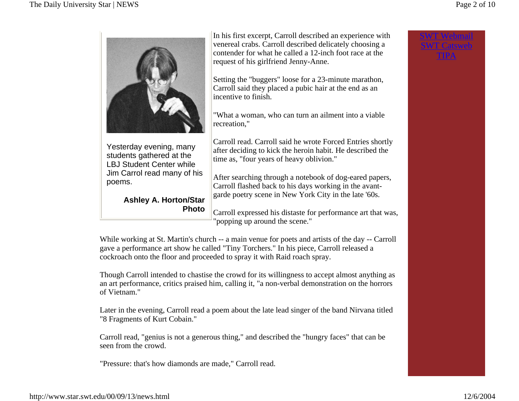SWT WebmailSWT CatswebTIPA



Yesterday evening, many students gathered at the LBJ Student Center while Jim Carrol read many of his poems.

> **Ashley A. Horton/Star Photo**

In his first excerpt, Carroll described an experience with venereal crabs. Carroll described delicately choosing a contender for what he called a 12-inch foot race at the request of his girlfriend Jenny-Anne.

Setting the "buggers" loose for a 23-minute marathon, Carroll said they placed a pubic hair at the end as an incentive to finish.

"What a woman, who can turn an ailment into a viable recreation,"

Carroll read. Carroll said he wrote Forced Entries shortly after deciding to kick the heroin habit. He described the time as, "four years of heavy oblivion."

After searching through a notebook of dog-eared papers, Carroll flashed back to his days working in the avantgarde poetry scene in New York City in the late '60s.

Carroll expressed his distaste for performance art that was, "popping up around the scene."

While working at St. Martin's church -- a main venue for poets and artists of the day -- Carroll gave a performance art show he called "Tiny Torchers." In his piece, Carroll released a cockroach onto the floor and proceeded to spray it with Raid roach spray.

Though Carroll intended to chastise the crowd for its willingness to accept almost anything as an art performance, critics praised him, calling it, "a non-verbal demonstration on the horrors of Vietnam."

Later in the evening, Carroll read a poem about the late lead singer of the band Nirvana titled "8 Fragments of Kurt Cobain."

Carroll read, "genius is not a generous thing," and described the "hungry faces" that can be seen from the crowd.

"Pressure: that's how diamonds are made," Carroll read.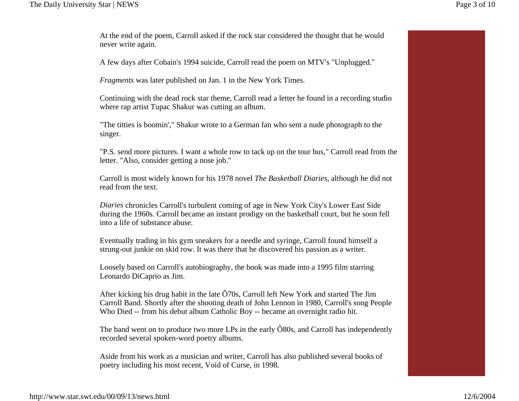At the end of the poem, Carroll asked if the rock star considered the thought that he would never write again.

A few days after Cobain's 1994 suicide, Carroll read the poem on MTV's "Unplugged."

*Fragments* was later published on Jan. 1 in the New York Times.

Continuing with the dead rock star theme, Carroll read a letter he found in a recording studio where rap artist Tupac Shakur was cutting an album.

"The titties is boomin'," Shakur wrote to a German fan who sent a nude photograph to the singer.

"P.S. send more pictures. I want a whole row to tack up on the tour bus," Carroll read from the letter. "Also, consider getting a nose job."

Carroll is most widely known for his 1978 novel *The Basketball Diaries*, although he did not read from the text.

*Diaries* chronicles Carroll's turbulent coming of age in New York City's Lower East Side during the 1960s. Carroll became an instant prodigy on the basketball court, but he soon fell into a life of substance abuse.

Eventually trading in his gym sneakers for a needle and syringe, Carroll found himself a strung-out junkie on skid row. It was there that he discovered his passion as a writer.

Loosely based on Carroll's autobiography, the book was made into a 1995 film starring Leonardo DiCaprio as Jim.

After kicking his drug habit in the late Ô70s, Carroll left New York and started The Jim Carroll Band. Shortly after the shooting death of John Lennon in 1980, Carroll's song People Who Died -- from his debut album Catholic Boy -- became an overnight radio hit.

The band went on to produce two more LPs in the early  $\hat{O}80s$ , and Carroll has independently recorded several spoken-word poetry albums.

Aside from his work as a musician and writer, Carroll has also published several books of poetry including his most recent, Void of Curse, in 1998.